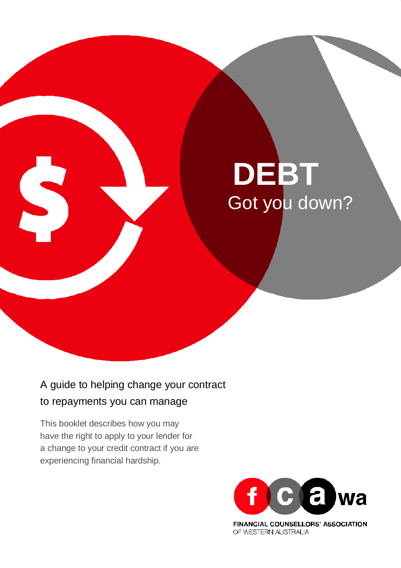# **DEBT** Got you down?

### A guide to helping change your contract to repayments you can manage

This booklet describes how you may have the right to apply to your lender for a change to your credit contract if you are experiencing financial hardship.



OF WESTERN AUSTRALIA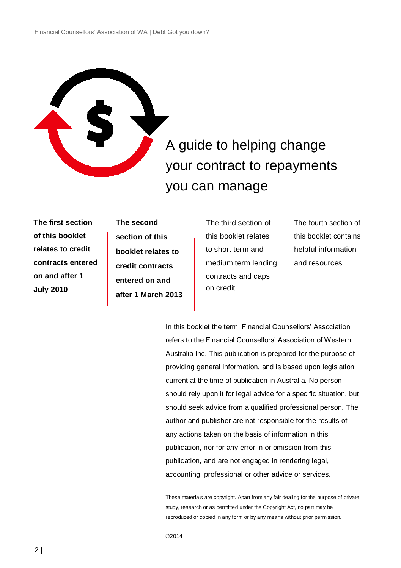

A guide to helping change your contract to repayments you can manage

**The first section of this booklet relates to credit contracts entered on and after 1 July 2010**

**The second section of this booklet relates to credit contracts entered on and after 1 March 2013**

this booklet relates  $\begin{bmatrix} 1 \end{bmatrix}$  this booklet contains to short term and  $\blacksquare$  helpful information medium term lending  $\parallel$  and resources contracts and caps on credit

The third section of  $\blacksquare$  The fourth section of

In this booklet the term 'Financial Counsellors' Association' refers to the Financial Counsellors' Association of Western Australia Inc. This publication is prepared for the purpose of providing general information, and is based upon legislation current at the time of publication in Australia. No person should rely upon it for legal advice for a specific situation, but should seek advice from a qualified professional person. The author and publisher are not responsible for the results of any actions taken on the basis of information in this publication, nor for any error in or omission from this publication, and are not engaged in rendering legal, accounting, professional or other advice or services.

These materials are copyright. Apart from any fair dealing for the purpose of private study, research or as permitted under the Copyright Act, no part may be reproduced or copied in any form or by any means without prior permission.

©2014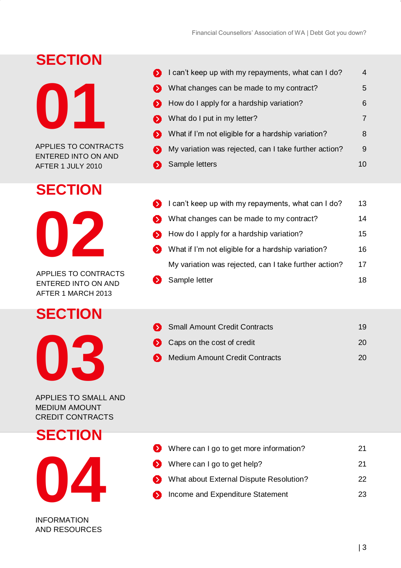## **SECTION**



APPLIES TO CONTRACTS ENTERED INTO ON AND AFTER 1 JULY 2010

## **SECTION**



APPLIES TO CONTRACTS ENTERED INTO ON AND AFTER 1 MARCH 2013

## **SECTION**



APPLIES TO SMALL AND MEDIUM AMOUNT CREDIT CONTRACTS

## **SECTION**



INFORMATION AND RESOURCES

| Ð. | I can't keep up with my repayments, what can I do?    | 4  |
|----|-------------------------------------------------------|----|
| Ы  | What changes can be made to my contract?              | 5  |
|    | How do I apply for a hardship variation?              | 6  |
| я  | What do I put in my letter?                           | 7  |
|    | What if I'm not eligible for a hardship variation?    | 8  |
| я  | My variation was rejected, can I take further action? | g  |
|    | Sample letters                                        | 10 |

|     | Solocan't keep up with my repayments, what can I do?  | 13 |
|-----|-------------------------------------------------------|----|
| o a | What changes can be made to my contract?              | 14 |
|     | How do I apply for a hardship variation?              | 15 |
| Ð   | What if I'm not eligible for a hardship variation?    | 16 |
|     | My variation was rejected, can I take further action? | 17 |
|     | Sample letter                                         | 18 |

Small Amount Credit Contracts 19 **Caps on the cost of credit 20 and 20 and 20 and 20 and 20 and 20 and 20 and 20 and 20 and 20 and 20 and 20 and 20 and 20 and 20 and 20 and 20 and 20 and 20 and 20 and 20 and 20 and 20 and 20 and 20 and 20 and 20 and 20 an Medium Amount Credit Contracts** 20

Where can I go to get more information? 21 Where can I go to get help? 21 What about External Dispute Resolution? 22 **Income and Expenditure Statement** 23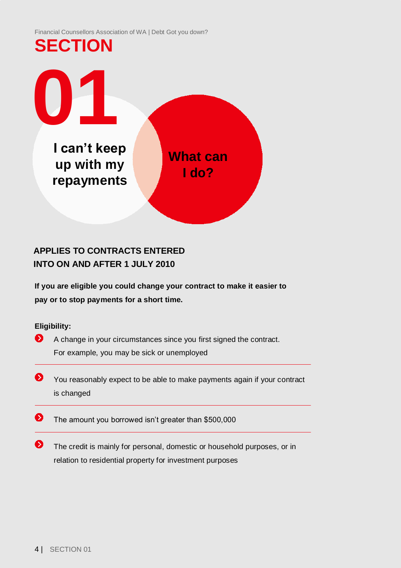



### **APPLIES TO CONTRACTS ENTERED INTO ON AND AFTER 1 JULY 2010**

**If you are eligible you could change your contract to make it easier to pay or to stop payments for a short time.**

#### **Eligibility:**

- ❸ A change in your circumstances since you first signed the contract. For example, you may be sick or unemployed
- ❸ You reasonably expect to be able to make payments again if your contract is changed
- $\bullet$ The amount you borrowed isn't greater than \$500,000
- $\bullet$ The credit is mainly for personal, domestic or household purposes, or in relation to residential property for investment purposes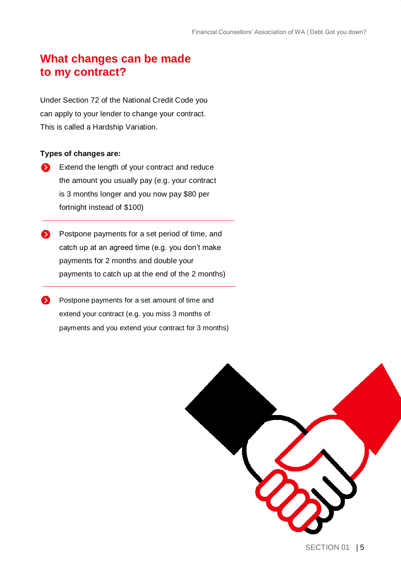### **What changes can be made to my contract?**

Under Section 72 of the National Credit Code you can apply to your lender to change your contract. This is called a Hardship Variation.

#### **Types of changes are:**

- Extend the length of your contract and reduce the amount you usually pay (e.g. your contract is 3 months longer and you now pay \$80 per fortnight instead of \$100)
- **Postpone payments for a set period of time, and** catch up at an agreed time (e.g. you don't make payments for 2 months and double your payments to catch up at the end of the 2 months)
- Postpone payments for a set amount of time and extend your contract (e.g. you miss 3 months of payments and you extend your contract for 3 months)

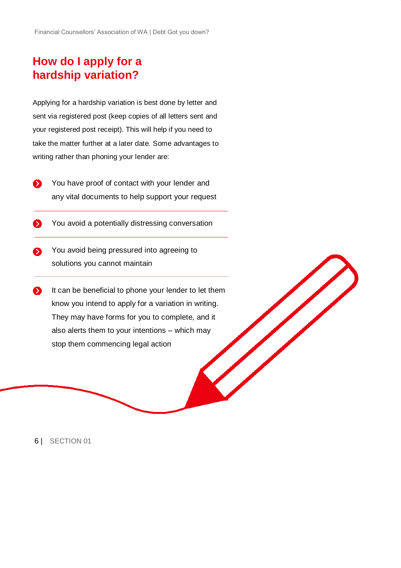### **How do I apply for a hardship variation?**

Applying for a hardship variation is best done by letter and sent via registered post (keep copies of all letters sent and your registered post receipt). This will help if you need to take the matter further at a later date. Some advantages to writing rather than phoning your lender are:

- You have proof of contact with your lender and 3 any vital documents to help support your request
- You avoid a potentially distressing conversation Ω
- You avoid being pressured into agreeing to N solutions you cannot maintain
- Ð It can be beneficial to phone your lender to let them know you intend to apply for a variation in writing. They may have forms for you to complete, and it also alerts them to your intentions – which may stop them commencing legal action

6 | SECTION 01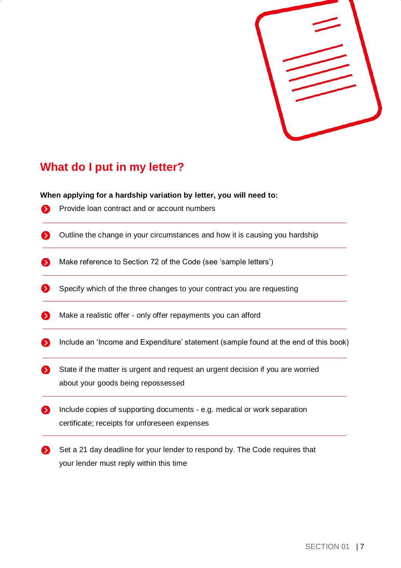

### **What do I put in my letter?**

#### **When applying for a hardship variation by letter, you will need to:**

- $\bullet$ Provide loan contract and or account numbers
- Outline the change in your circumstances and how it is causing you hardship
- Make reference to Section 72 of the Code (see 'sample letters') ๑
- ◙ Specify which of the three changes to your contract you are requesting
- Ω. Make a realistic offer - only offer repayments you can afford
- Include an 'Income and Expenditure' statement (sample found at the end of this book) ß.
- State if the matter is urgent and request an urgent decision if you are worried 6 about your goods being repossessed
- Include copies of supporting documents e.g. medical or work separation A certificate; receipts for unforeseen expenses
- Set a 21 day deadline for your lender to respond by. The Code requires that your lender must reply within this time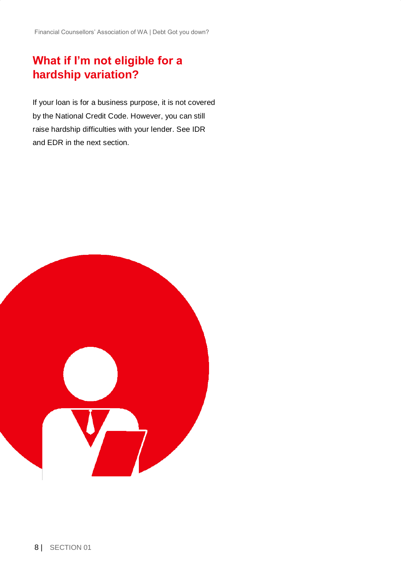### **What if I'm not eligible for a hardship variation?**

If your loan is for a business purpose, it is not covered by the National Credit Code. However, you can still raise hardship difficulties with your lender. See IDR and EDR in the next section.

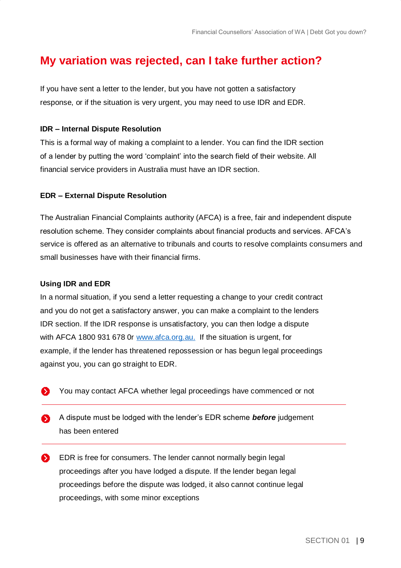### **My variation was rejected, can I take further action?**

If you have sent a letter to the lender, but you have not gotten a satisfactory response, or if the situation is very urgent, you may need to use IDR and EDR.

#### **IDR – Internal Dispute Resolution**

This is a formal way of making a complaint to a lender. You can find the IDR section of a lender by putting the word 'complaint' into the search field of their website. All financial service providers in Australia must have an IDR section.

#### **EDR – External Dispute Resolution**

The Australian Financial Complaints authority (AFCA) is a free, fair and independent dispute resolution scheme. They consider complaints about financial products and services. AFCA's service is offered as an alternative to tribunals and courts to resolve complaints consumers and small businesses have with their financial firms.

#### **Using IDR and EDR**

In a normal situation, if you send a letter requesting a change to your credit contract and you do not get a satisfactory answer, you can make a complaint to the lenders IDR section. If the IDR response is unsatisfactory, you can then lodge a dispute with AFCA 1800 931 678 0r [www.afca.org.au.](http://www.afca.org.au/) If the situation is urgent, for example, if the lender has threatened repossession or has begun legal proceedings against you, you can go straight to EDR.

- You may contact AFCA whether legal proceedings have commenced or not
- A dispute must be lodged with the lender's EDR scheme *before* judgement has been entered
- EDR is free for consumers. The lender cannot normally begin legal proceedings after you have lodged a dispute. If the lender began legal proceedings before the dispute was lodged, it also cannot continue legal proceedings, with some minor exceptions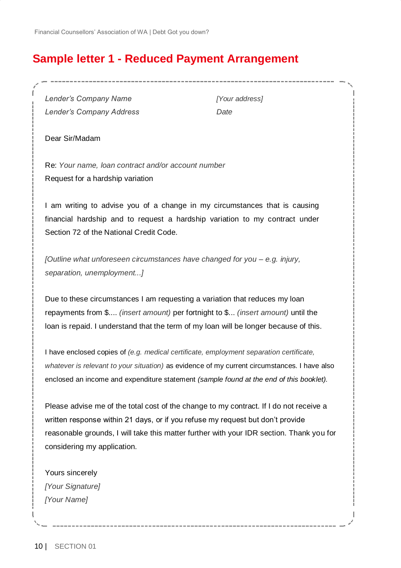### **Sample letter 1 - Reduced Payment Arrangement**

*Lender's Company Name [Your address] Lender's Company Address Date*

Dear Sir/Madam

Re: *Your name, loan contract and/or account number* Request for a hardship variation

I am writing to advise you of a change in my circumstances that is causing financial hardship and to request a hardship variation to my contract under Section 72 of the National Credit Code.

*[Outline what unforeseen circumstances have changed for you – e.g. injury, separation, unemployment...]*

Due to these circumstances I am requesting a variation that reduces my loan repayments from \$.... *(insert amount)* per fortnight to \$... *(insert amount)* until the loan is repaid. I understand that the term of my loan will be longer because of this.

I have enclosed copies of *(e.g. medical certificate, employment separation certificate, whatever is relevant to your situation)* as evidence of my current circumstances. I have also enclosed an income and expenditure statement *(sample found at the end of this booklet).*

Please advise me of the total cost of the change to my contract. If I do not receive a written response within 21 days, or if you refuse my request but don't provide reasonable grounds, I will take this matter further with your IDR section. Thank you for considering my application.

Yours sincerely *[Your Signature] [Your Name]*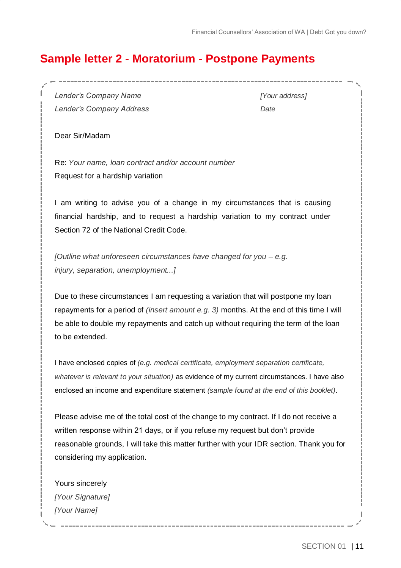### **Sample letter 2 - Moratorium - Postpone Payments**

----------------

*Lender's Company Name [Your address] Lender's Company Address Date*

Dear Sir/Madam

Re: *Your name, loan contract and/or account number* Request for a hardship variation

I am writing to advise you of a change in my circumstances that is causing financial hardship, and to request a hardship variation to my contract under Section 72 of the National Credit Code.

*[Outline what unforeseen circumstances have changed for you – e.g. injury, separation, unemployment...]*

Due to these circumstances I am requesting a variation that will postpone my loan repayments for a period of *(insert amount e.g. 3)* months. At the end of this time I will be able to double my repayments and catch up without requiring the term of the loan to be extended.

I have enclosed copies of *(e.g. medical certificate, employment separation certificate, whatever is relevant to your situation)* as evidence of my current circumstances. I have also enclosed an income and expenditure statement *(sample found at the end of this booklet)*.

Please advise me of the total cost of the change to my contract. If I do not receive a written response within 21 days, or if you refuse my request but don't provide reasonable grounds, I will take this matter further with your IDR section. Thank you for considering my application.

Yours sincerely *[Your Signature] [Your Name]*

SECTION 01 | 11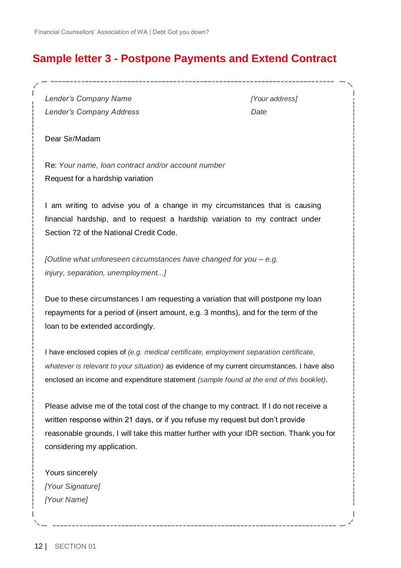### **Sample letter 3 - Postpone Payments and Extend Contract**

-----------------

*Lender's Company Name [Your address] Lender's Company Address Date*

Dear Sir/Madam

Re: *Your name, loan contract and/or account number* Request for a hardship variation

I am writing to advise you of a change in my circumstances that is causing financial hardship, and to request a hardship variation to my contract under Section 72 of the National Credit Code.

*[Outline what unforeseen circumstances have changed for you – e.g. injury, separation, unemployment...]*

Due to these circumstances I am requesting a variation that will postpone my loan repayments for a period of (insert amount, e.g. 3 months), and for the term of the loan to be extended accordingly.

I have enclosed copies of *(e.g. medical certificate, employment separation certificate, whatever is relevant to your situation)* as evidence of my current circumstances. I have also enclosed an income and expenditure statement *(sample found at the end of this booklet)*.

Please advise me of the total cost of the change to my contract. If I do not receive a written response within 21 days, or if you refuse my request but don't provide reasonable grounds, I will take this matter further with your IDR section. Thank you for considering my application.

Yours sincerely *[Your Signature] [Your Name]*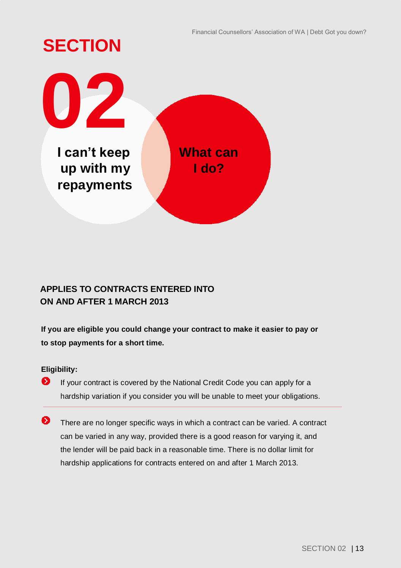

### **APPLIES TO CONTRACTS ENTERED INTO ON AND AFTER 1 MARCH 2013**

**If you are eligible you could change your contract to make it easier to pay or to stop payments for a short time.**

#### **Eligibility:**

- ❸ If your contract is covered by the National Credit Code you can apply for a hardship variation if you consider you will be unable to meet your obligations.
- There are no longer specific ways in which a contract can be varied. A contract can be varied in any way, provided there is a good reason for varying it, and the lender will be paid back in a reasonable time. There is no dollar limit for hardship applications for contracts entered on and after 1 March 2013.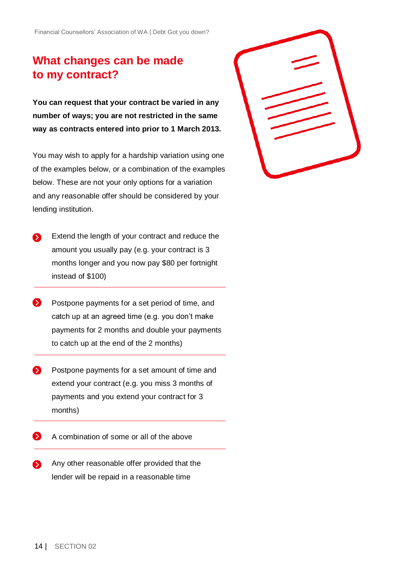### **What changes can be made to my contract?**

**You can request that your contract be varied in any number of ways; you are not restricted in the same way as contracts entered into prior to 1 March 2013.**

You may wish to apply for a hardship variation using one of the examples below, or a combination of the examples below. These are not your only options for a variation and any reasonable offer should be considered by your lending institution.

- Extend the length of your contract and reduce the Ω amount you usually pay (e.g. your contract is 3 months longer and you now pay \$80 per fortnight instead of \$100)
- **Postpone payments for a set period of time, and** catch up at an agreed time (e.g. you don't make payments for 2 months and double your payments to catch up at the end of the 2 months)
- 61 Postpone payments for a set amount of time and extend your contract (e.g. you miss 3 months of payments and you extend your contract for 3 months)
- N A combination of some or all of the above
- Any other reasonable offer provided that the Ω lender will be repaid in a reasonable time

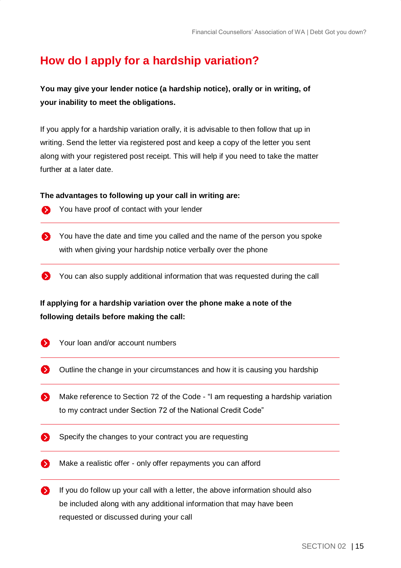### **How do I apply for a hardship variation?**

**You may give your lender notice (a hardship notice), orally or in writing, of your inability to meet the obligations.**

If you apply for a hardship variation orally, it is advisable to then follow that up in writing. Send the letter via registered post and keep a copy of the letter you sent along with your registered post receipt. This will help if you need to take the matter further at a later date.

#### **The advantages to following up your call in writing are:**

- You have proof of contact with your lender ๑
- You have the date and time you called and the name of the person you spoke with when giving your hardship notice verbally over the phone
- You can also supply additional information that was requested during the call

### **If applying for a hardship variation over the phone make a note of the following details before making the call:**

- Your loan and/or account numbers Ω
- ๑ Outline the change in your circumstances and how it is causing you hardship
- Make reference to Section 72 of the Code "I am requesting a hardship variation ๑ to my contract under Section 72 of the National Credit Code"
- 61 Specify the changes to your contract you are requesting
- Make a realistic offer only offer repayments you can afford
- If you do follow up your call with a letter, the above information should also Ω be included along with any additional information that may have been requested or discussed during your call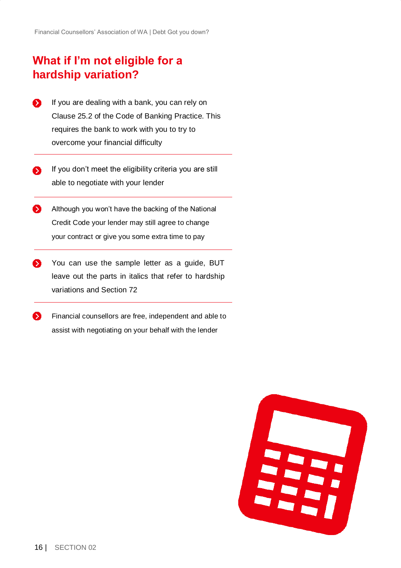### **What if I'm not eligible for a hardship variation?**

- ൈ If you are dealing with a bank, you can rely on Clause 25.2 of the Code of Banking Practice. This requires the bank to work with you to try to overcome your financial difficulty
- If you don't meet the eligibility criteria you are still M able to negotiate with your lender
- Ω Although you won't have the backing of the National Credit Code your lender may still agree to change your contract or give you some extra time to pay
- ß You can use the sample letter as a guide, BUT leave out the parts in italics that refer to hardship variations and Section 72
- Ы Financial counsellors are free, independent and able to assist with negotiating on your behalf with the lender

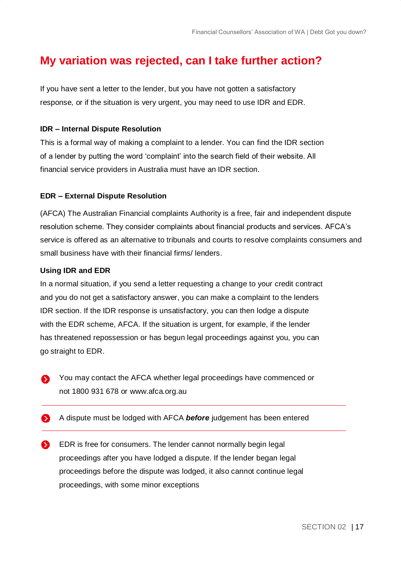### **My variation was rejected, can I take further action?**

If you have sent a letter to the lender, but you have not gotten a satisfactory response, or if the situation is very urgent, you may need to use IDR and EDR.

#### **IDR – Internal Dispute Resolution**

This is a formal way of making a complaint to a lender. You can find the IDR section of a lender by putting the word 'complaint' into the search field of their website. All financial service providers in Australia must have an IDR section.

#### **EDR – External Dispute Resolution**

(AFCA) The Australian Financial complaints Authority is a free, fair and independent dispute resolution scheme. They consider complaints about financial products and services. AFCA's service is offered as an alternative to tribunals and courts to resolve complaints consumers and small business have with their financial firms/ lenders.

#### **Using IDR and EDR**

In a normal situation, if you send a letter requesting a change to your credit contract and you do not get a satisfactory answer, you can make a complaint to the lenders IDR section. If the IDR response is unsatisfactory, you can then lodge a dispute with the EDR scheme, AFCA. If the situation is urgent, for example, if the lender has threatened repossession or has begun legal proceedings against you, you can go straight to EDR.

- You may contact the AFCA whether legal proceedings have commenced or Ω not 1800 931 678 or www.afca.org.au
- A dispute must be lodged with AFCA *before* judgement has been entered
- EDR is free for consumers. The lender cannot normally begin legal proceedings after you have lodged a dispute. If the lender began legal proceedings before the dispute was lodged, it also cannot continue legal proceedings, with some minor exceptions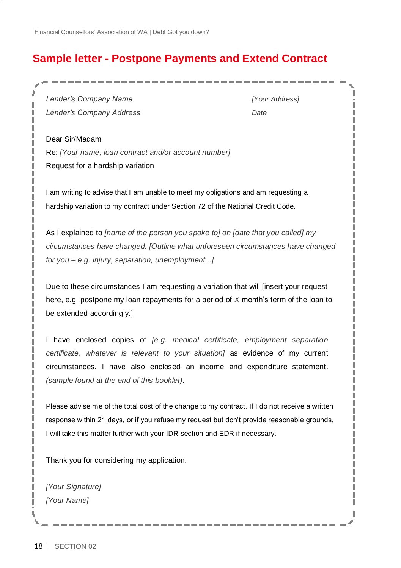### **Sample letter - Postpone Payments and Extend Contract**

*Lender's Company Name [Your Address] Lender's Company Address Date*

Dear Sir/Madam Re: *[Your name, loan contract and/or account number]* Request for a hardship variation

I am writing to advise that I am unable to meet my obligations and am requesting a hardship variation to my contract under Section 72 of the National Credit Code.

As I explained to *[name of the person you spoke to] on [date that you called] my circumstances have changed. [Outline what unforeseen circumstances have changed for you – e.g. injury, separation, unemployment...]*

Due to these circumstances I am requesting a variation that will [insert your request here, e.g. postpone my loan repayments for a period of *X* month's term of the loan to be extended accordingly.]

I have enclosed copies of *[e.g. medical certificate, employment separation certificate, whatever is relevant to your situation]* as evidence of my current circumstances. I have also enclosed an income and expenditure statement. *(sample found at the end of this booklet)*.

Please advise me of the total cost of the change to my contract. If I do not receive a written response within 21 days, or if you refuse my request but don't provide reasonable grounds, I will take this matter further with your IDR section and EDR if necessary.

Thank you for considering my application.

*[Your Signature] [Your Name]*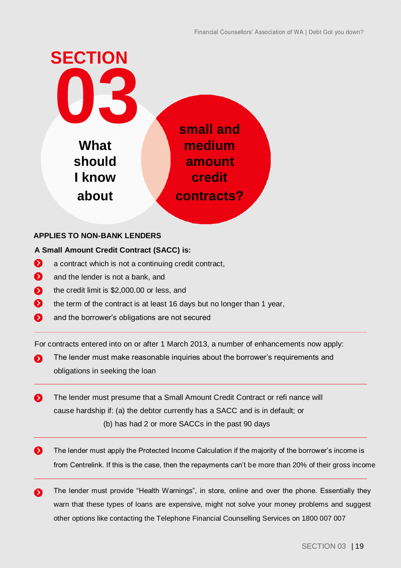

#### **APPLIES TO NON-BANK LENDERS**

#### **A Small Amount Credit Contract (SACC) is:**

- ◙ a contract which is not a continuing credit contract,
- െ and the lender is not a bank, and
- െ the credit limit is \$2,000.00 or less, and
- Ø. the term of the contract is at least 16 days but no longer than 1 year,
- െ and the borrower's obligations are not secured

For contracts entered into on or after 1 March 2013, a number of enhancements now apply:

- The lender must make reasonable inquiries about the borrower's requirements and ⋒ obligations in seeking the loan
- െ The lender must presume that a Small Amount Credit Contract or refi nance will cause hardship if: (a) the debtor currently has a SACC and is in default; or (b) has had 2 or more SACCs in the past 90 days
- ☎ The lender must apply the Protected Income Calculation if the majority of the borrower's income is from Centrelink. If this is the case, then the repayments can't be more than 20% of their gross income
- The lender must provide "Health Warnings", in store, online and over the phone. Essentially they മ warn that these types of loans are expensive, might not solve your money problems and suggest other options like contacting the Telephone Financial Counselling Services on 1800 007 007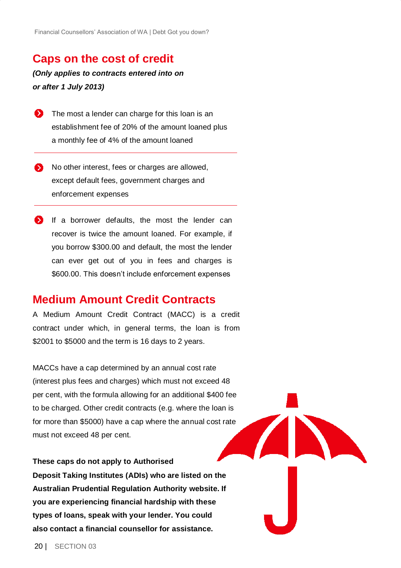### **Caps on the cost of credit**

*(Only applies to contracts entered into on or after 1 July 2013)*

- $\sum$  The most a lender can charge for this loan is an establishment fee of 20% of the amount loaned plus a monthly fee of 4% of the amount loaned
- No other interest, fees or charges are allowed, except default fees, government charges and enforcement expenses
- If a borrower defaults, the most the lender can recover is twice the amount loaned. For example, if you borrow \$300.00 and default, the most the lender can ever get out of you in fees and charges is \$600.00. This doesn't include enforcement expenses

#### **Medium Amount Credit Contracts**

A Medium Amount Credit Contract (MACC) is a credit contract under which, in general terms, the loan is from \$2001 to \$5000 and the term is 16 days to 2 years.

MACCs have a cap determined by an annual cost rate (interest plus fees and charges) which must not exceed 48 per cent, with the formula allowing for an additional \$400 fee to be charged. Other credit contracts (e.g. where the loan is for more than \$5000) have a cap where the annual cost rate must not exceed 48 per cent.

**These caps do not apply to Authorised Deposit Taking Institutes (ADIs) who are listed on the Australian Prudential Regulation Authority website. If you are experiencing financial hardship with these types of loans, speak with your lender. You could also contact a financial counsellor for assistance.**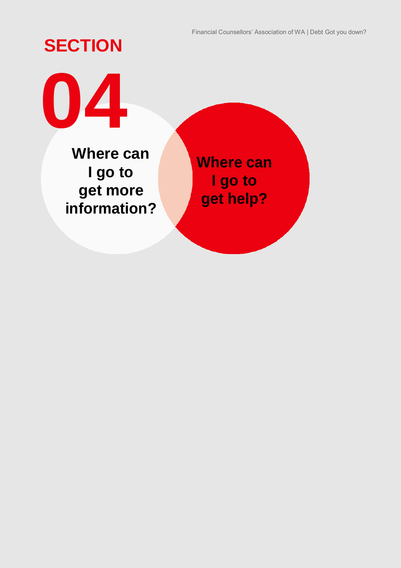## **SECTION**

**04**

Where can<br> **I** go to<br> **I** go to<br> **I** go to<br> **I** get help?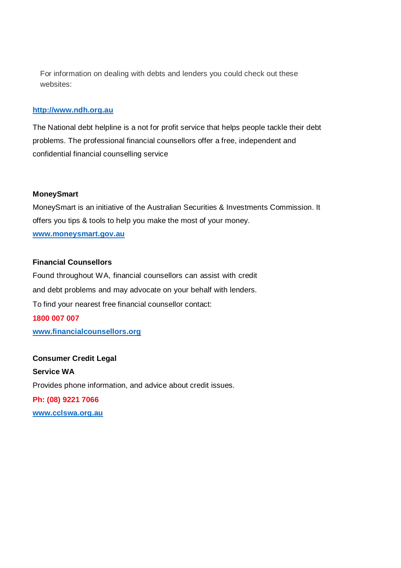For information on dealing with debts and lenders you could check out these websites:

#### **[http://www.ndh.org.au](http://www.ndh.org.au/)**

The National debt helpline is a not for profit service that helps people tackle their debt problems. The professional financial counsellors offer a free, independent and confidential financial counselling service

#### **MoneySmart**

MoneySmart is an initiative of the Australian Securities & Investments Commission. It offers you tips & tools to help you make the most of your money. **[www.moneysmart.gov.au](http://www.moneysmart.gov.au/)**

#### **Financial Counsellors**

Found throughout WA, financial counsellors can assist with credit and debt problems and may advocate on your behalf with lenders. To find your nearest free financial counsellor contact: **1800 007 007 [www.financialcounsellors.org](http://www.fcawa.org/)**

**Consumer Credit Legal Service WA** Provides phone information, and advice about credit issues. **Ph: (08) 9221 7066**

**[www.cclswa.org.au](http://www.cclswa.org.au/)**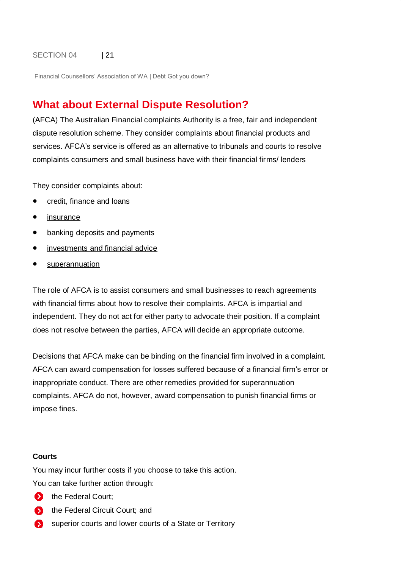#### SECTION 04 | 21

Financial Counsellors' Association of WA | Debt Got you down?

### **What about External Dispute Resolution?**

(AFCA) The Australian Financial complaints Authority is a free, fair and independent dispute resolution scheme. They consider complaints about financial products and services. AFCA's service is offered as an alternative to tribunals and courts to resolve complaints consumers and small business have with their financial firms/ lenders

They consider complaints about:

- credit, [finance](https://www.afca.org.au/public/redirect.jsp?id=5136) and loans
- [insurance](https://www.afca.org.au/public/redirect.jsp?id=5137)
- banking deposits and [payments](https://www.afca.org.au/public/redirect.jsp?id=5138)
- [investments](https://www.afca.org.au/public/redirect.jsp?id=5212) and financial advice
- [superannuation](https://www.afca.org.au/public/redirect.jsp?id=5213)

The role of AFCA is to assist consumers and small businesses to reach agreements with financial firms about how to resolve their complaints. AFCA is impartial and independent. They do not act for either party to advocate their position. If a complaint does not resolve between the parties, AFCA will decide an appropriate outcome.

Decisions that AFCA make can be binding on the financial firm involved in a complaint. AFCA can award compensation for losses suffered because of a financial firm's error or inappropriate conduct. There are other remedies provided for superannuation complaints. AFCA do not, however, award compensation to punish financial firms or impose fines.

#### **Courts**

You may incur further costs if you choose to take this action. You can take further action through:

- the Federal Court:
- the Federal Circuit Court; and
- Superior courts and lower courts of a State or Territory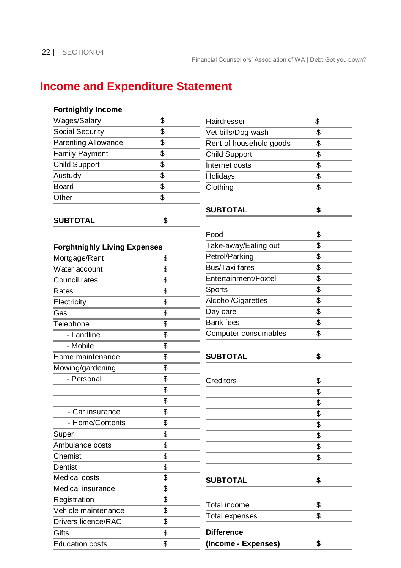### **Income and Expenditure Statement**

#### **Fortnightly Income**

| Wages/Salary                        | \$                      | Hairdresser             | \$              |
|-------------------------------------|-------------------------|-------------------------|-----------------|
| Social Security                     | $\overline{\$}$         | Vet bills/Dog wash      | \$              |
| Parenting Allowance                 | $\overline{\$}$         | Rent of household goods | $\overline{\$}$ |
| <b>Family Payment</b>               | \$                      | <b>Child Support</b>    | $\overline{\$}$ |
| <b>Child Support</b>                | \$                      | Internet costs          | $\overline{\$}$ |
| Austudy                             | $\overline{\$}$         | Holidays                | $\overline{\$}$ |
| Board                               | \$                      | Clothing                | \$              |
| Other                               | $\overline{\mathbf{s}}$ |                         |                 |
|                                     |                         | <b>SUBTOTAL</b>         | \$              |
| <b>SUBTOTAL</b>                     | \$                      |                         |                 |
|                                     |                         | Food                    | \$              |
| <b>Forghtnighly Living Expenses</b> |                         | Take-away/Eating out    | $\overline{\$}$ |
| Mortgage/Rent                       | \$                      | Petrol/Parking          | \$              |
| Water account                       | \$                      | Bus/Taxi fares          | $\overline{\$}$ |
| Council rates                       | \$                      | Entertainment/Foxtel    | $\overline{\$}$ |
| Rates                               | \$                      | Sports                  | $\overline{\$}$ |
| Electricity                         | $\overline{\$}$         | Alcohol/Cigarettes      | $\overline{\$}$ |
| Gas                                 | \$                      | Day care                | $\overline{\$}$ |
| Telephone                           | $\overline{\$}$         | <b>Bank fees</b>        | $\overline{\$}$ |
| - Landline                          | $\overline{\$}$         | Computer consumables    | \$              |
| - Mobile                            | $\overline{\$}$         |                         |                 |
| Home maintenance                    | \$                      | <b>SUBTOTAL</b>         | \$              |
| Mowing/gardening                    | \$                      |                         |                 |
| - Personal                          | \$                      | Creditors               | \$              |
|                                     | \$                      |                         | $\overline{\$}$ |
|                                     | \$                      |                         | $\overline{\$}$ |
| - Car insurance                     | \$                      |                         | \$              |
| - Home/Contents                     | $\overline{\$}$         |                         | $\overline{\$}$ |
| Super                               | \$                      |                         | $\overline{\$}$ |
| Ambulance costs                     | \$                      |                         | $\overline{\$}$ |
| Chemist                             | $\overline{\$}$         |                         | $\overline{\$}$ |
| Dentist                             | \$                      |                         |                 |
| Medical costs                       | $\overline{\$}$         | <b>SUBTOTAL</b>         | \$              |
| Medical insurance                   | $\overline{\$}$         |                         |                 |
| Registration                        | \$                      | Total income            | \$              |
| Vehicle maintenance                 | \$                      | <b>Total expenses</b>   | \$              |
| Drivers licence/RAC                 | $\overline{\$}$         |                         |                 |
| Gifts                               | $\overline{\$}$         | <b>Difference</b>       |                 |
| <b>Education costs</b>              | $\overline{\$}$         | (Income - Expenses)     | \$              |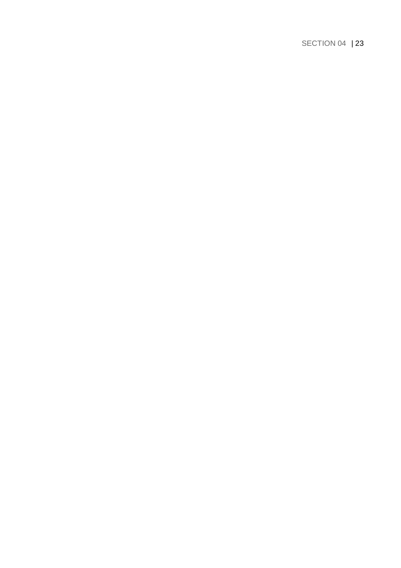SECTION 04 | 23